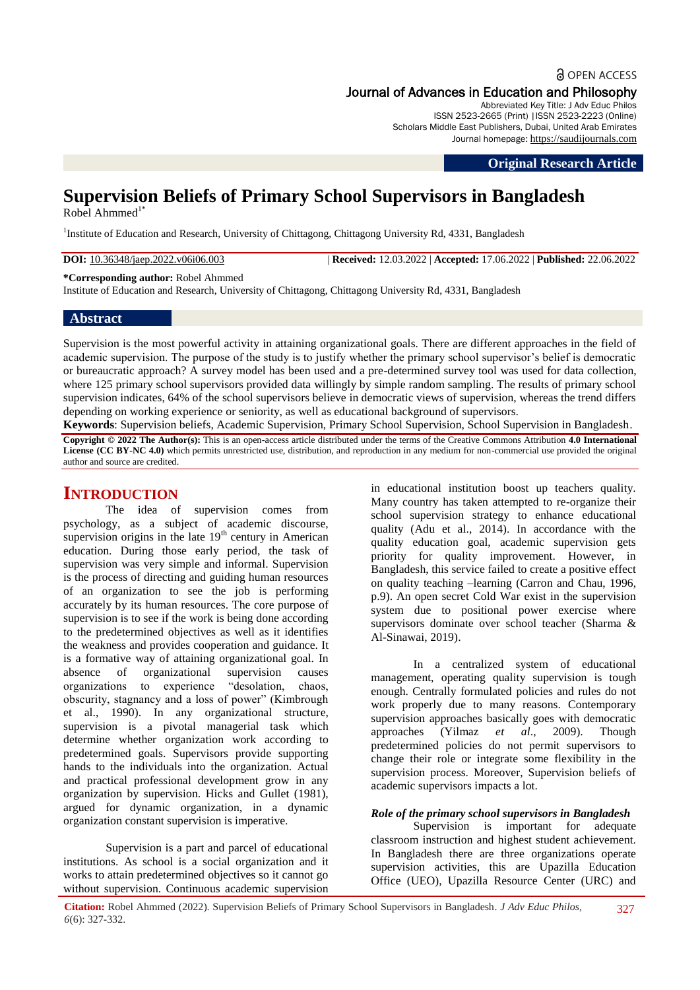# **a** OPEN ACCESS Journal of Advances in Education and Philosophy

Abbreviated Key Title: J Adv Educ Philos ISSN 2523-2665 (Print) |ISSN 2523-2223 (Online) Scholars Middle East Publishers, Dubai, United Arab Emirates Journal homepage: [https://saudijournals.com](https://saudijournals.com/jaep)

#### **Original Research Article**

# **Supervision Beliefs of Primary School Supervisors in Bangladesh**

 $Robel$  Ahmmed<sup>1\*</sup>

<sup>1</sup>Institute of Education and Research, University of Chittagong, Chittagong University Rd, 4331, Bangladesh

**DOI:** 10.36348/jaep.2022.v06i06.003 | **Received:** 12.03.2022 | **Accepted:** 17.06.2022 | **Published:** 22.06.2022

**\*Corresponding author:** Robel Ahmmed

Institute of Education and Research, University of Chittagong, Chittagong University Rd, 4331, Bangladesh

#### **Abstract**

Supervision is the most powerful activity in attaining organizational goals. There are different approaches in the field of academic supervision. The purpose of the study is to justify whether the primary school supervisor's belief is democratic or bureaucratic approach? A survey model has been used and a pre-determined survey tool was used for data collection, where 125 primary school supervisors provided data willingly by simple random sampling. The results of primary school supervision indicates, 64% of the school supervisors believe in democratic views of supervision, whereas the trend differs depending on working experience or seniority, as well as educational background of supervisors.

**Keywords**: Supervision beliefs, Academic Supervision, Primary School Supervision, School Supervision in Bangladesh.

**Copyright © 2022 The Author(s):** This is an open-access article distributed under the terms of the Creative Commons Attribution **4.0 International License (CC BY-NC 4.0)** which permits unrestricted use, distribution, and reproduction in any medium for non-commercial use provided the original author and source are credited.

# **INTRODUCTION**

The idea of supervision comes from psychology, as a subject of academic discourse, supervision origins in the late  $19<sup>th</sup>$  century in American education. During those early period, the task of supervision was very simple and informal. Supervision is the process of directing and guiding human resources of an organization to see the job is performing accurately by its human resources. The core purpose of supervision is to see if the work is being done according to the predetermined objectives as well as it identifies the weakness and provides cooperation and guidance. It is a formative way of attaining organizational goal. In absence of organizational supervision causes organizations to experience "desolation, chaos, obscurity, stagnancy and a loss of power" (Kimbrough et al., 1990). In any organizational structure, supervision is a pivotal managerial task which determine whether organization work according to predetermined goals. Supervisors provide supporting hands to the individuals into the organization. Actual and practical professional development grow in any organization by supervision. Hicks and Gullet (1981), argued for dynamic organization, in a dynamic organization constant supervision is imperative.

Supervision is a part and parcel of educational institutions. As school is a social organization and it works to attain predetermined objectives so it cannot go without supervision. Continuous academic supervision

in educational institution boost up teachers quality. Many country has taken attempted to re-organize their school supervision strategy to enhance educational quality (Adu et al., 2014). In accordance with the quality education goal, academic supervision gets priority for quality improvement. However, in Bangladesh, this service failed to create a positive effect on quality teaching –learning (Carron and Chau, 1996, p.9). An open secret Cold War exist in the supervision system due to positional power exercise where supervisors dominate over school teacher (Sharma & Al-Sinawai, 2019).

In a centralized system of educational management, operating quality supervision is tough enough. Centrally formulated policies and rules do not work properly due to many reasons. Contemporary supervision approaches basically goes with democratic approaches (Yilmaz *et al*., 2009). Though predetermined policies do not permit supervisors to change their role or integrate some flexibility in the supervision process. Moreover, Supervision beliefs of academic supervisors impacts a lot.

#### *Role of the primary school supervisors in Bangladesh*

Supervision is important for adequate classroom instruction and highest student achievement. In Bangladesh there are three organizations operate supervision activities, this are Upazilla Education Office (UEO), Upazilla Resource Center (URC) and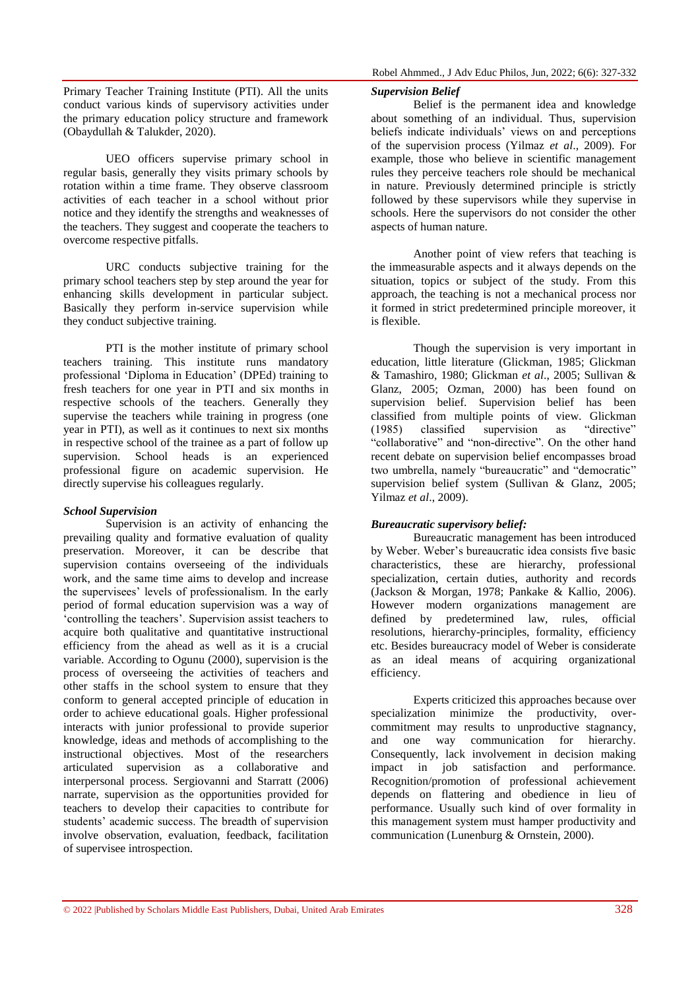Primary Teacher Training Institute (PTI). All the units conduct various kinds of supervisory activities under the primary education policy structure and framework (Obaydullah & Talukder, 2020).

UEO officers supervise primary school in regular basis, generally they visits primary schools by rotation within a time frame. They observe classroom activities of each teacher in a school without prior notice and they identify the strengths and weaknesses of the teachers. They suggest and cooperate the teachers to overcome respective pitfalls.

URC conducts subjective training for the primary school teachers step by step around the year for enhancing skills development in particular subject. Basically they perform in-service supervision while they conduct subjective training.

PTI is the mother institute of primary school teachers training. This institute runs mandatory professional "Diploma in Education" (DPEd) training to fresh teachers for one year in PTI and six months in respective schools of the teachers. Generally they supervise the teachers while training in progress (one year in PTI), as well as it continues to next six months in respective school of the trainee as a part of follow up supervision. School heads is an experienced professional figure on academic supervision. He directly supervise his colleagues regularly.

#### *School Supervision*

Supervision is an activity of enhancing the prevailing quality and formative evaluation of quality preservation. Moreover, it can be describe that supervision contains overseeing of the individuals work, and the same time aims to develop and increase the supervisees' levels of professionalism. In the early period of formal education supervision was a way of "controlling the teachers". Supervision assist teachers to acquire both qualitative and quantitative instructional efficiency from the ahead as well as it is a crucial variable. According to Ogunu (2000), supervision is the process of overseeing the activities of teachers and other staffs in the school system to ensure that they conform to general accepted principle of education in order to achieve educational goals. Higher professional interacts with junior professional to provide superior knowledge, ideas and methods of accomplishing to the instructional objectives. Most of the researchers articulated supervision as a collaborative and interpersonal process. Sergiovanni and Starratt (2006) narrate, supervision as the opportunities provided for teachers to develop their capacities to contribute for students" academic success. The breadth of supervision involve observation, evaluation, feedback, facilitation of supervisee introspection.

# *Supervision Belief*

Belief is the permanent idea and knowledge about something of an individual. Thus, supervision beliefs indicate individuals' views on and perceptions of the supervision process (Yilmaz *et al*., 2009). For example, those who believe in scientific management rules they perceive teachers role should be mechanical in nature. Previously determined principle is strictly followed by these supervisors while they supervise in schools. Here the supervisors do not consider the other aspects of human nature.

Another point of view refers that teaching is the immeasurable aspects and it always depends on the situation, topics or subject of the study. From this approach, the teaching is not a mechanical process nor it formed in strict predetermined principle moreover, it is flexible.

Though the supervision is very important in education, little literature (Glickman, 1985; Glickman & Tamashiro, 1980; Glickman *et al*., 2005; Sullivan & Glanz, 2005; Ozman, 2000) has been found on supervision belief. Supervision belief has been classified from multiple points of view. Glickman (1985) classified supervision as "directive" "collaborative" and "non-directive". On the other hand recent debate on supervision belief encompasses broad two umbrella, namely "bureaucratic" and "democratic" supervision belief system (Sullivan & Glanz, 2005; Yilmaz *et al*., 2009).

#### *Bureaucratic supervisory belief:*

Bureaucratic management has been introduced by Weber. Weber"s bureaucratic idea consists five basic characteristics, these are hierarchy, professional specialization, certain duties, authority and records (Jackson & Morgan, 1978; Pankake & Kallio, 2006). However modern organizations management are defined by predetermined law, rules, official resolutions, hierarchy-principles, formality, efficiency etc. Besides bureaucracy model of Weber is considerate as an ideal means of acquiring organizational efficiency.

Experts criticized this approaches because over specialization minimize the productivity, overcommitment may results to unproductive stagnancy, and one way communication for hierarchy. Consequently, lack involvement in decision making impact in job satisfaction and performance. Recognition/promotion of professional achievement depends on flattering and obedience in lieu of performance. Usually such kind of over formality in this management system must hamper productivity and communication (Lunenburg & Ornstein, 2000).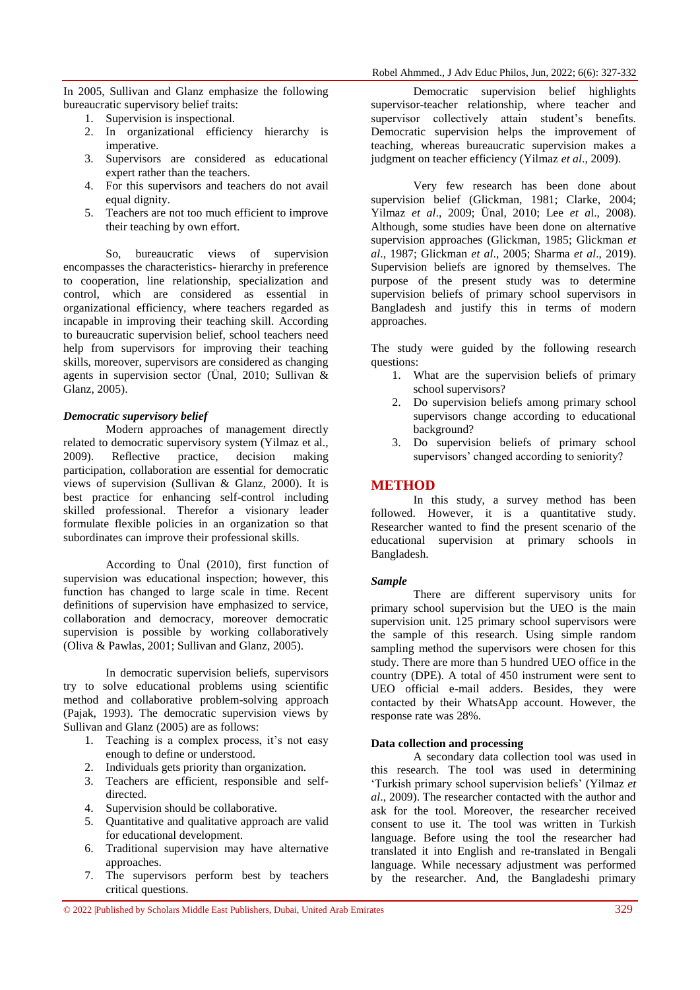In 2005, Sullivan and Glanz emphasize the following bureaucratic supervisory belief traits:

- 1. Supervision is inspectional.
- 2. In organizational efficiency hierarchy is imperative.
- 3. Supervisors are considered as educational expert rather than the teachers.
- 4. For this supervisors and teachers do not avail equal dignity.
- 5. Teachers are not too much efficient to improve their teaching by own effort.

So, bureaucratic views of supervision encompasses the characteristics- hierarchy in preference to cooperation, line relationship, specialization and control, which are considered as essential in organizational efficiency, where teachers regarded as incapable in improving their teaching skill. According to bureaucratic supervision belief, school teachers need help from supervisors for improving their teaching skills, moreover, supervisors are considered as changing agents in supervision sector (Ünal, 2010; Sullivan & Glanz, 2005).

#### *Democratic supervisory belief*

Modern approaches of management directly related to democratic supervisory system (Yilmaz et al., 2009). Reflective practice, decision making participation, collaboration are essential for democratic views of supervision (Sullivan & Glanz, 2000). It is best practice for enhancing self-control including skilled professional. Therefor a visionary leader formulate flexible policies in an organization so that subordinates can improve their professional skills.

According to Ünal (2010), first function of supervision was educational inspection; however, this function has changed to large scale in time. Recent definitions of supervision have emphasized to service, collaboration and democracy, moreover democratic supervision is possible by working collaboratively (Oliva & Pawlas, 2001; Sullivan and Glanz, 2005).

In democratic supervision beliefs, supervisors try to solve educational problems using scientific method and collaborative problem-solving approach (Pajak, 1993). The democratic supervision views by Sullivan and Glanz (2005) are as follows:

- 1. Teaching is a complex process, it's not easy enough to define or understood.
- 2. Individuals gets priority than organization.
- 3. Teachers are efficient, responsible and selfdirected.
- 4. Supervision should be collaborative.
- 5. Quantitative and qualitative approach are valid for educational development.
- 6. Traditional supervision may have alternative approaches.
- 7. The supervisors perform best by teachers critical questions.

Democratic supervision belief highlights supervisor-teacher relationship, where teacher and supervisor collectively attain student's benefits. Democratic supervision helps the improvement of teaching, whereas bureaucratic supervision makes a judgment on teacher efficiency (Yilmaz *et al*., 2009).

Very few research has been done about supervision belief (Glickman, 1981; Clarke, 2004; Yilmaz *et al*., 2009; Ünal, 2010; Lee *et a*l., 2008). Although, some studies have been done on alternative supervision approaches (Glickman, 1985; Glickman *et al*., 1987; Glickman *et al*., 2005; Sharma *et al*., 2019). Supervision beliefs are ignored by themselves. The purpose of the present study was to determine supervision beliefs of primary school supervisors in Bangladesh and justify this in terms of modern approaches.

The study were guided by the following research questions:

- 1. What are the supervision beliefs of primary school supervisors?
- 2. Do supervision beliefs among primary school supervisors change according to educational background?
- 3. Do supervision beliefs of primary school supervisors' changed according to seniority?

#### **METHOD**

In this study, a survey method has been followed. However, it is a quantitative study. Researcher wanted to find the present scenario of the educational supervision at primary schools in Bangladesh.

#### *Sample*

There are different supervisory units for primary school supervision but the UEO is the main supervision unit. 125 primary school supervisors were the sample of this research. Using simple random sampling method the supervisors were chosen for this study. There are more than 5 hundred UEO office in the country (DPE). A total of 450 instrument were sent to UEO official e-mail adders. Besides, they were contacted by their WhatsApp account. However, the response rate was 28%.

#### **Data collection and processing**

A secondary data collection tool was used in this research. The tool was used in determining "Turkish primary school supervision beliefs" (Yilmaz *et al*., 2009). The researcher contacted with the author and ask for the tool. Moreover, the researcher received consent to use it. The tool was written in Turkish language. Before using the tool the researcher had translated it into English and re-translated in Bengali language. While necessary adjustment was performed by the researcher. And, the Bangladeshi primary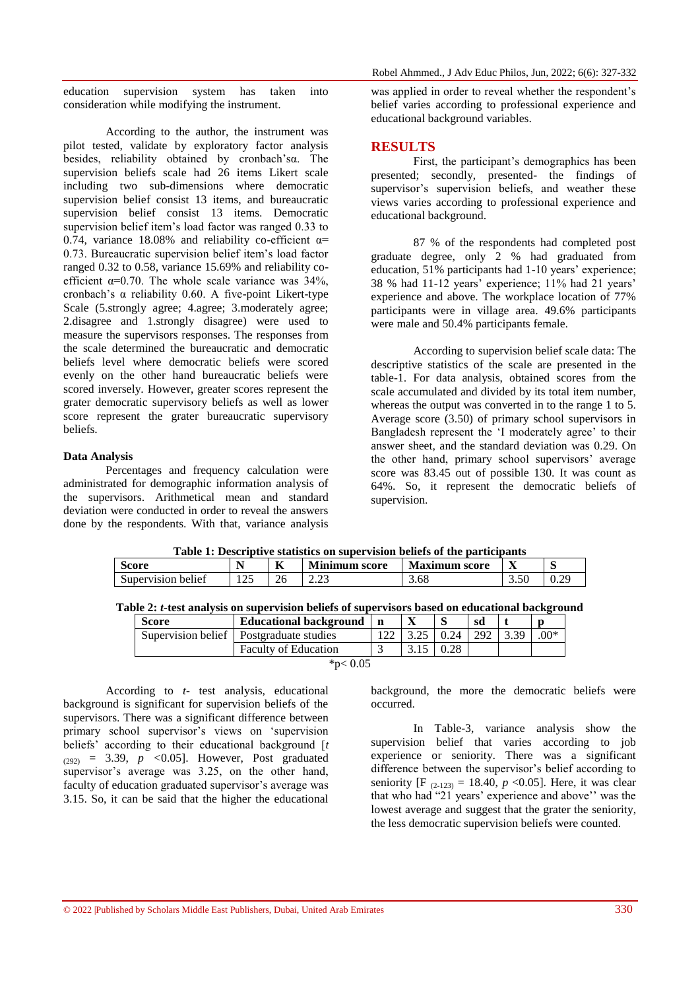education supervision system has taken into consideration while modifying the instrument.

According to the author, the instrument was pilot tested, validate by exploratory factor analysis besides, reliability obtained by cronbach"sα. The supervision beliefs scale had 26 items Likert scale including two sub-dimensions where democratic supervision belief consist 13 items, and bureaucratic supervision belief consist 13 items. Democratic supervision belief item"s load factor was ranged 0.33 to 0.74, variance 18.08% and reliability co-efficient  $\alpha$ = 0.73. Bureaucratic supervision belief item"s load factor ranged 0.32 to 0.58, variance 15.69% and reliability coefficient  $\alpha$ =0.70. The whole scale variance was 34%. cronbach's  $\alpha$  reliability 0.60. A five-point Likert-type Scale (5.strongly agree; 4.agree; 3.moderately agree; 2.disagree and 1.strongly disagree) were used to measure the supervisors responses. The responses from the scale determined the bureaucratic and democratic beliefs level where democratic beliefs were scored evenly on the other hand bureaucratic beliefs were scored inversely. However, greater scores represent the grater democratic supervisory beliefs as well as lower score represent the grater bureaucratic supervisory beliefs.

#### **Data Analysis**

Percentages and frequency calculation were administrated for demographic information analysis of the supervisors. Arithmetical mean and standard deviation were conducted in order to reveal the answers done by the respondents. With that, variance analysis

was applied in order to reveal whether the respondent's belief varies according to professional experience and educational background variables.

### **RESULTS**

First, the participant's demographics has been presented; secondly, presented- the findings of supervisor's supervision beliefs, and weather these views varies according to professional experience and educational background.

87 % of the respondents had completed post graduate degree, only 2 % had graduated from education, 51% participants had 1-10 years' experience; 38 % had 11-12 years' experience; 11% had 21 years' experience and above. The workplace location of 77% participants were in village area. 49.6% participants were male and 50.4% participants female.

According to supervision belief scale data: The descriptive statistics of the scale are presented in the table-1. For data analysis, obtained scores from the scale accumulated and divided by its total item number, whereas the output was converted in to the range 1 to 5. Average score (3.50) of primary school supervisors in Bangladesh represent the 'I moderately agree' to their answer sheet, and the standard deviation was 0.29. On the other hand, primary school supervisors' average score was 83.45 out of possible 130. It was count as 64%. So, it represent the democratic beliefs of supervision.

| Table 1: Descriptive statistics on supervision beliefs of the participants |  |    |                      |                      |  |      |  |  |
|----------------------------------------------------------------------------|--|----|----------------------|----------------------|--|------|--|--|
| Score                                                                      |  | -n | <b>Minimum score</b> | <b>Maximum</b> score |  |      |  |  |
| Supervision belief                                                         |  | 26 | 2.23                 | 3.68                 |  | 0.29 |  |  |

**Table 1: Descriptive statistics on supervision beliefs of the participants**

**Table 2:** *t***-test analysis on supervision beliefs of supervisors based on educational background**

| <b>Score</b>         | <b>Educational background</b>             |  |                 |  | sd  |      |        |
|----------------------|-------------------------------------------|--|-----------------|--|-----|------|--------|
|                      | Supervision belief   Postgraduate studies |  | $3.25 \pm 0.24$ |  | 292 | 3.39 | $.00*$ |
|                      | <b>Faculty of Education</b>               |  |                 |  |     |      |        |
| $\sim$ $\sim$ $\sim$ |                                           |  |                 |  |     |      |        |

 $*p< 0.05$ 

According to *t*- test analysis, educational background is significant for supervision beliefs of the supervisors. There was a significant difference between primary school supervisor"s views on "supervision beliefs" according to their educational background [*t*  $(292)$  = 3.39,  $p$  <0.05]. However, Post graduated supervisor's average was 3.25, on the other hand, faculty of education graduated supervisor's average was 3.15. So, it can be said that the higher the educational

background, the more the democratic beliefs were occurred.

In Table-3, variance analysis show the supervision belief that varies according to job experience or seniority. There was a significant difference between the supervisor's belief according to seniority  $[F_{(2-123)} = 18.40, p < 0.05]$ . Here, it was clear that who had "21 years' experience and above" was the lowest average and suggest that the grater the seniority, the less democratic supervision beliefs were counted.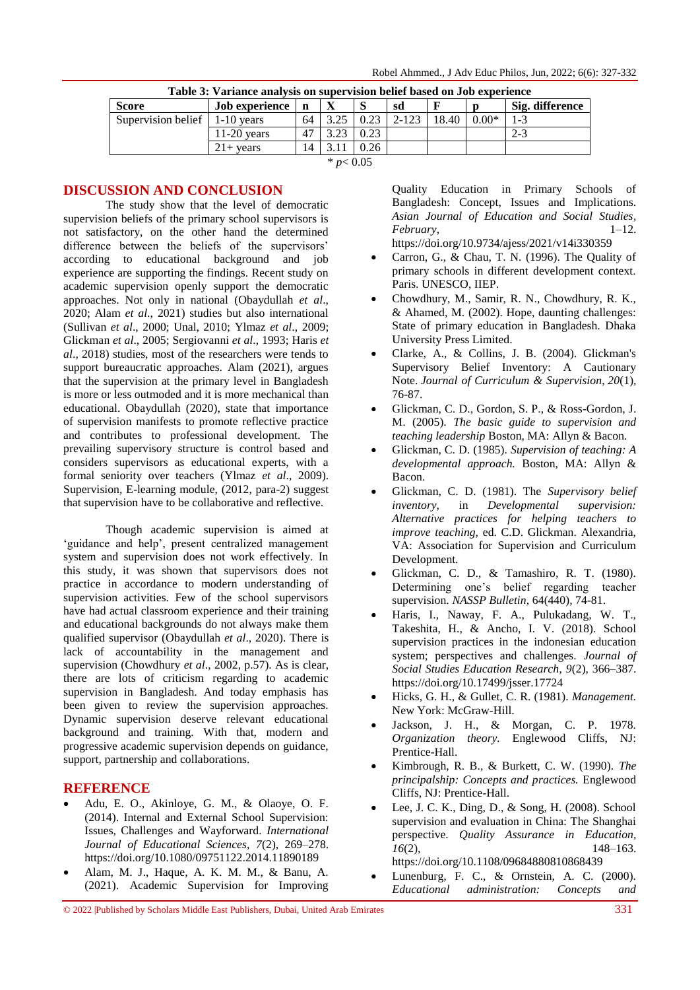| Table 5. Valiance analysis on supervision beneficialised on Job experience |                       |    |  |      |       |       |         |                 |
|----------------------------------------------------------------------------|-----------------------|----|--|------|-------|-------|---------|-----------------|
| <b>Score</b>                                                               | <b>Job</b> experience | n  |  |      | sd    |       |         | Sig. difference |
| Supervision belief $\vert$ 1-10 years                                      |                       | 64 |  | 0.23 | 2-123 | 18.40 | $0.00*$ |                 |
|                                                                            | $11-20$ years         | 47 |  | 0.23 |       |       |         | $2 - 3$         |
|                                                                            | $21+$ vears           | 14 |  | 0.26 |       |       |         |                 |
| * $p < 0.05$                                                               |                       |    |  |      |       |       |         |                 |

| Table 3: Variance analysis on supervision belief based on Job experience |  |  |
|--------------------------------------------------------------------------|--|--|
|                                                                          |  |  |

## **DISCUSSION AND CONCLUSION**

The study show that the level of democratic supervision beliefs of the primary school supervisors is not satisfactory, on the other hand the determined difference between the beliefs of the supervisors' according to educational background and job experience are supporting the findings. Recent study on academic supervision openly support the democratic approaches. Not only in national (Obaydullah *et al*., 2020; Alam *et al*., 2021) studies but also international (Sullivan *et al*., 2000; Unal, 2010; Ylmaz *et al*., 2009; Glickman *et al*., 2005; Sergiovanni *et al*., 1993; Haris *et al*., 2018) studies, most of the researchers were tends to support bureaucratic approaches. Alam (2021), argues that the supervision at the primary level in Bangladesh is more or less outmoded and it is more mechanical than educational. Obaydullah (2020), state that importance of supervision manifests to promote reflective practice and contributes to professional development. The prevailing supervisory structure is control based and considers supervisors as educational experts, with a formal seniority over teachers (Ylmaz *et al*., 2009). Supervision, E-learning module, (2012, para-2) suggest that supervision have to be collaborative and reflective.

Though academic supervision is aimed at 'guidance and help', present centralized management system and supervision does not work effectively. In this study, it was shown that supervisors does not practice in accordance to modern understanding of supervision activities. Few of the school supervisors have had actual classroom experience and their training and educational backgrounds do not always make them qualified supervisor (Obaydullah *et al*., 2020). There is lack of accountability in the management and supervision (Chowdhury *et al*., 2002, p.57). As is clear, there are lots of criticism regarding to academic supervision in Bangladesh. And today emphasis has been given to review the supervision approaches. Dynamic supervision deserve relevant educational background and training. With that, modern and progressive academic supervision depends on guidance, support, partnership and collaborations.

#### **REFERENCE**

- Adu, E. O., Akinloye, G. M., & Olaoye, O. F. (2014). Internal and External School Supervision: Issues, Challenges and Wayforward. *International Journal of Educational Sciences*, *7*(2), 269–278. https://doi.org/10.1080/09751122.2014.11890189
- Alam, M. J., Haque, A. K. M. M., & Banu, A. (2021). Academic Supervision for Improving

Quality Education in Primary Schools of Bangladesh: Concept, Issues and Implications. *Asian Journal of Education and Social Studies*, *February*, 1–12. https://doi.org/10.9734/ajess/2021/v14i330359

- Carron, G., & Chau, T. N. (1996). The Quality of primary schools in different development context. Paris. UNESCO, IIEP.
- Chowdhury, M., Samir, R. N., Chowdhury, R. K., & Ahamed, M. (2002). Hope, daunting challenges: State of primary education in Bangladesh. Dhaka University Press Limited.
- Clarke, A., & Collins, J. B. (2004). Glickman's Supervisory Belief Inventory: A Cautionary Note. *Journal of Curriculum & Supervision*, *20*(1), 76-87.
- Glickman, C. D., Gordon, S. P., & Ross-Gordon, J. M. (2005). *The basic guide to supervision and teaching leadership* Boston, MA: Allyn & Bacon.
- Glickman, C. D. (1985). *Supervision of teaching: A developmental approach.* Boston, MA: Allyn & Bacon.
- Glickman, C. D. (1981). The *Supervisory belief inventory,* in *Developmental supervision: Alternative practices for helping teachers to improve teaching,* ed. C.D. Glickman. Alexandria, VA: Association for Supervision and Curriculum Development.
- Glickman, C. D., & Tamashiro, R. T. (1980). Determining one"s belief regarding teacher supervision. *NASSP Bulletin,* 64(440), 74-81.
- Haris, I., Naway, F. A., Pulukadang, W. T., Takeshita, H., & Ancho, I. V. (2018). School supervision practices in the indonesian education system; perspectives and challenges. *Journal of Social Studies Education Research*, *9*(2), 366–387. <https://doi.org/10.17499/jsser.17724>
- Hicks, G. H., & Gullet, C. R. (1981). *Management.*  New York: McGraw-Hill.
- Jackson, J. H., & Morgan, C. P. 1978. *Organization theory.* Englewood Cliffs, NJ: Prentice-Hall.
- Kimbrough, R. B., & Burkett, C. W. (1990). *The principalship: Concepts and practices.* Englewood Cliffs, NJ: Prentice-Hall.
- Lee, J. C. K., Ding, D., & Song, H. (2008). School supervision and evaluation in China: The Shanghai perspective. *Quality Assurance in Education*, *16*(2), 148–163. <https://doi.org/10.1108/09684880810868439>
- Lunenburg, F. C., & Ornstein, A. C. (2000). *Educational administration: Concepts and*